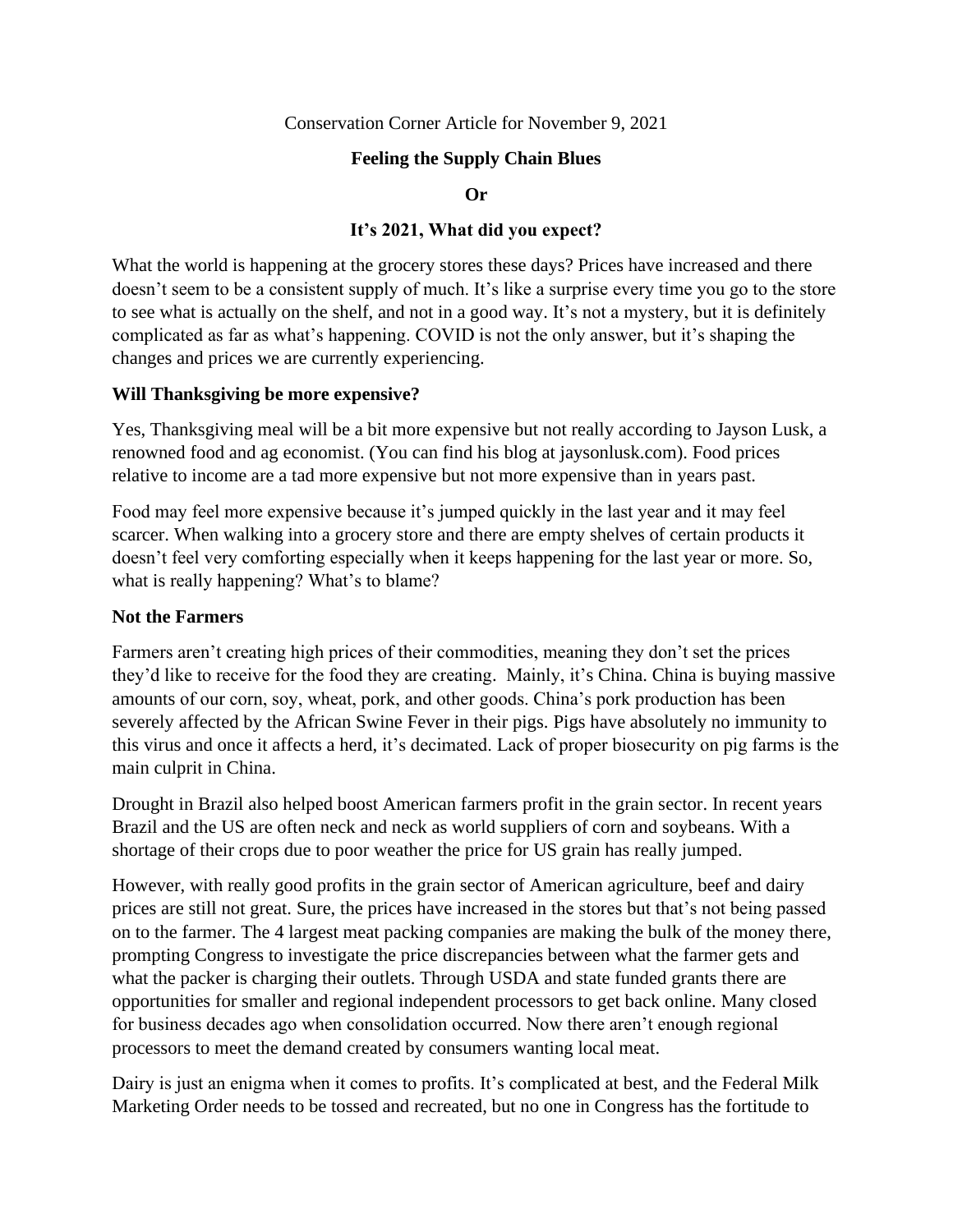Conservation Corner Article for November 9, 2021

## **Feeling the Supply Chain Blues**

**Or** 

### **It's 2021, What did you expect?**

What the world is happening at the grocery stores these days? Prices have increased and there doesn't seem to be a consistent supply of much. It's like a surprise every time you go to the store to see what is actually on the shelf, and not in a good way. It's not a mystery, but it is definitely complicated as far as what's happening. COVID is not the only answer, but it's shaping the changes and prices we are currently experiencing.

#### **Will Thanksgiving be more expensive?**

Yes, Thanksgiving meal will be a bit more expensive but not really according to Jayson Lusk, a renowned food and ag economist. (You can find his blog at jaysonlusk.com). Food prices relative to income are a tad more expensive but not more expensive than in years past.

Food may feel more expensive because it's jumped quickly in the last year and it may feel scarcer. When walking into a grocery store and there are empty shelves of certain products it doesn't feel very comforting especially when it keeps happening for the last year or more. So, what is really happening? What's to blame?

#### **Not the Farmers**

Farmers aren't creating high prices of their commodities, meaning they don't set the prices they'd like to receive for the food they are creating. Mainly, it's China. China is buying massive amounts of our corn, soy, wheat, pork, and other goods. China's pork production has been severely affected by the African Swine Fever in their pigs. Pigs have absolutely no immunity to this virus and once it affects a herd, it's decimated. Lack of proper biosecurity on pig farms is the main culprit in China.

Drought in Brazil also helped boost American farmers profit in the grain sector. In recent years Brazil and the US are often neck and neck as world suppliers of corn and soybeans. With a shortage of their crops due to poor weather the price for US grain has really jumped.

However, with really good profits in the grain sector of American agriculture, beef and dairy prices are still not great. Sure, the prices have increased in the stores but that's not being passed on to the farmer. The 4 largest meat packing companies are making the bulk of the money there, prompting Congress to investigate the price discrepancies between what the farmer gets and what the packer is charging their outlets. Through USDA and state funded grants there are opportunities for smaller and regional independent processors to get back online. Many closed for business decades ago when consolidation occurred. Now there aren't enough regional processors to meet the demand created by consumers wanting local meat.

Dairy is just an enigma when it comes to profits. It's complicated at best, and the Federal Milk Marketing Order needs to be tossed and recreated, but no one in Congress has the fortitude to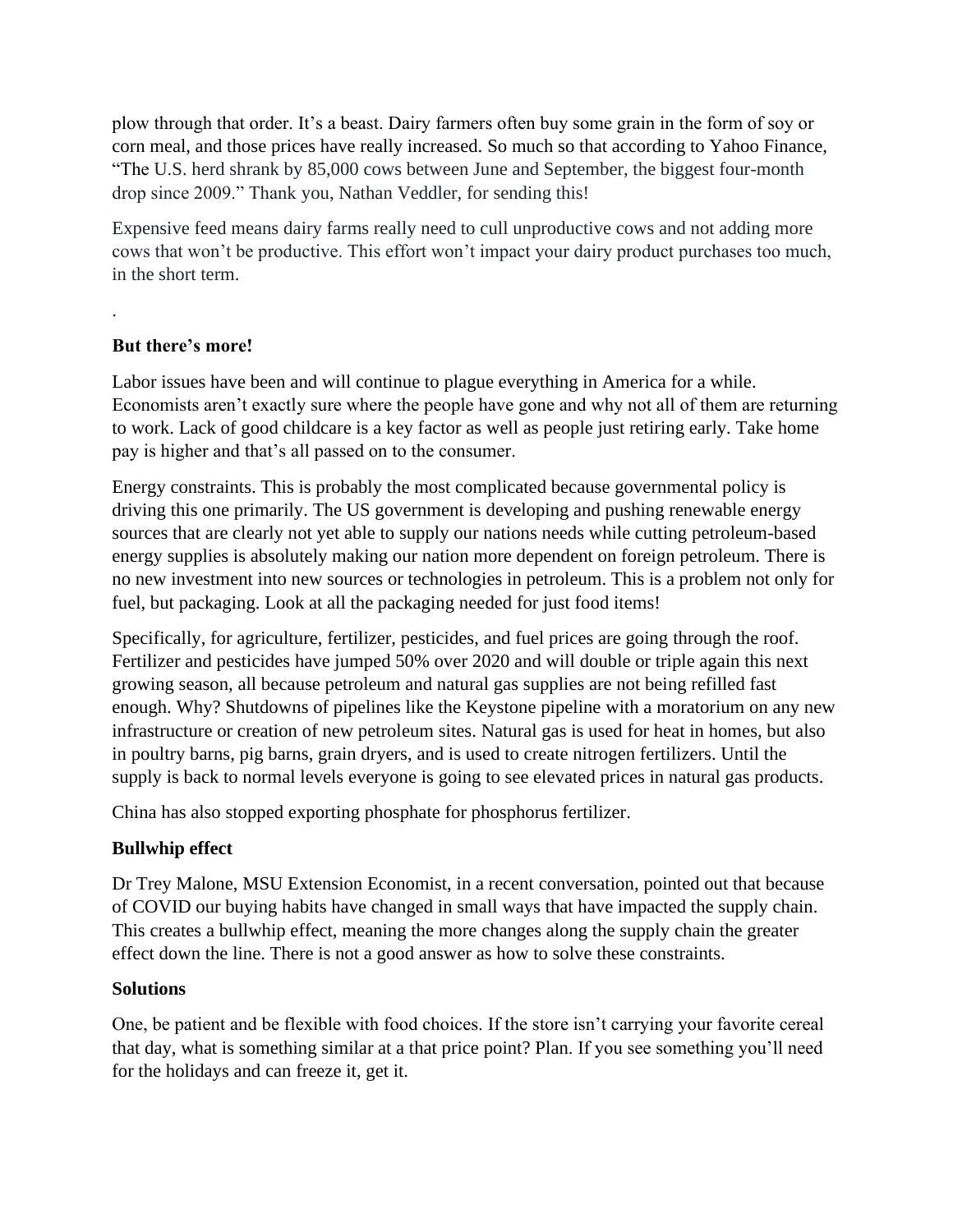plow through that order. It's a beast. Dairy farmers often buy some grain in the form of soy or corn meal, and those prices have really increased. So much so that according to Yahoo Finance, "The U.S. herd shrank by 85,000 cows between June and September, the biggest four-month drop since 2009." Thank you, Nathan Veddler, for sending this!

Expensive feed means dairy farms really need to cull unproductive cows and not adding more cows that won't be productive. This effort won't impact your dairy product purchases too much, in the short term.

# **But there's more!**

.

Labor issues have been and will continue to plague everything in America for a while. Economists aren't exactly sure where the people have gone and why not all of them are returning to work. Lack of good childcare is a key factor as well as people just retiring early. Take home pay is higher and that's all passed on to the consumer.

Energy constraints. This is probably the most complicated because governmental policy is driving this one primarily. The US government is developing and pushing renewable energy sources that are clearly not yet able to supply our nations needs while cutting petroleum-based energy supplies is absolutely making our nation more dependent on foreign petroleum. There is no new investment into new sources or technologies in petroleum. This is a problem not only for fuel, but packaging. Look at all the packaging needed for just food items!

Specifically, for agriculture, fertilizer, pesticides, and fuel prices are going through the roof. Fertilizer and pesticides have jumped 50% over 2020 and will double or triple again this next growing season, all because petroleum and natural gas supplies are not being refilled fast enough. Why? Shutdowns of pipelines like the Keystone pipeline with a moratorium on any new infrastructure or creation of new petroleum sites. Natural gas is used for heat in homes, but also in poultry barns, pig barns, grain dryers, and is used to create nitrogen fertilizers. Until the supply is back to normal levels everyone is going to see elevated prices in natural gas products.

China has also stopped exporting phosphate for phosphorus fertilizer.

## **Bullwhip effect**

Dr Trey Malone, MSU Extension Economist, in a recent conversation, pointed out that because of COVID our buying habits have changed in small ways that have impacted the supply chain. This creates a bullwhip effect, meaning the more changes along the supply chain the greater effect down the line. There is not a good answer as how to solve these constraints.

## **Solutions**

One, be patient and be flexible with food choices. If the store isn't carrying your favorite cereal that day, what is something similar at a that price point? Plan. If you see something you'll need for the holidays and can freeze it, get it.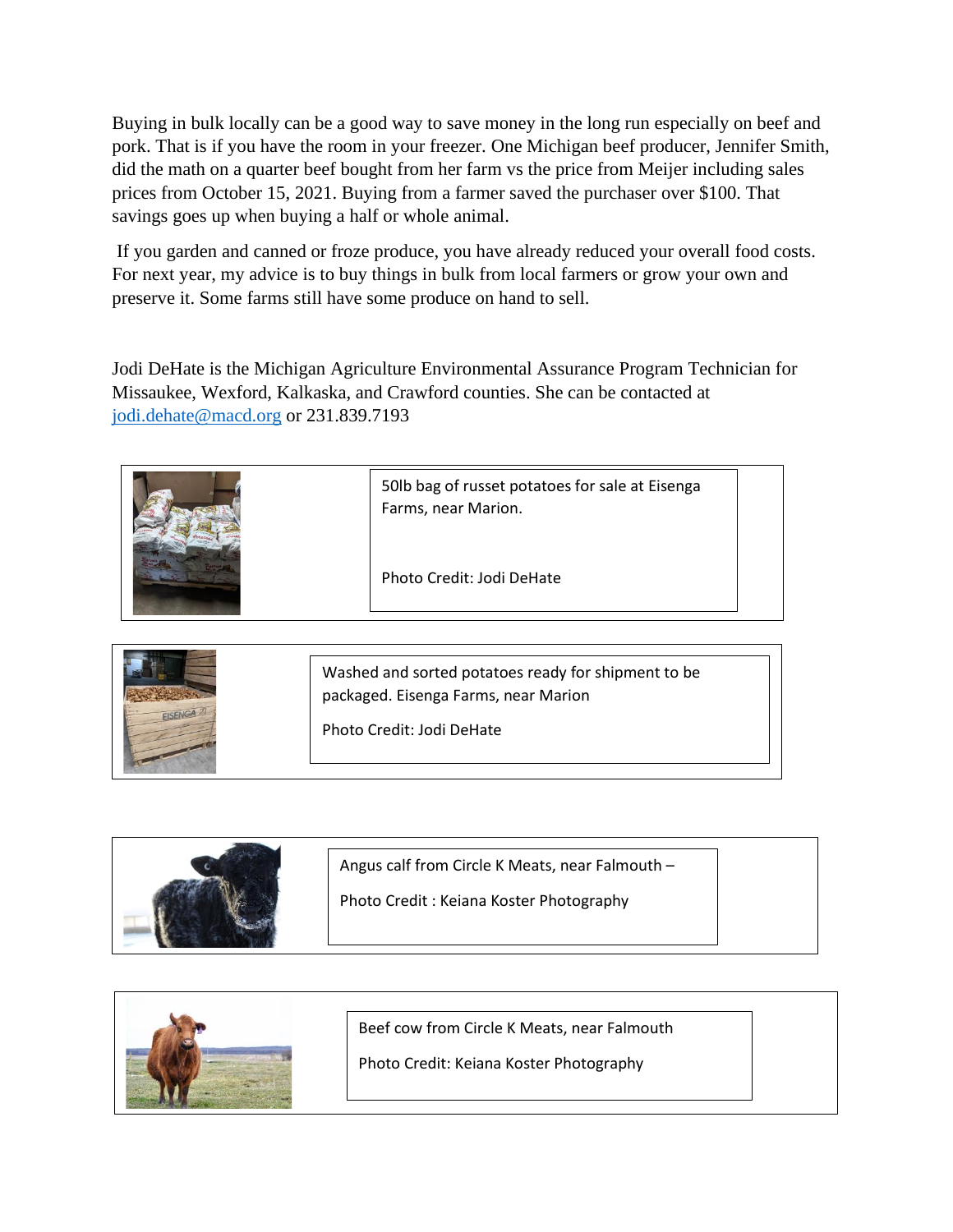Buying in bulk locally can be a good way to save money in the long run especially on beef and pork. That is if you have the room in your freezer. One Michigan beef producer, Jennifer Smith, did the math on a quarter beef bought from her farm vs the price from Meijer including sales prices from October 15, 2021. Buying from a farmer saved the purchaser over \$100. That savings goes up when buying a half or whole animal.

If you garden and canned or froze produce, you have already reduced your overall food costs. For next year, my advice is to buy things in bulk from local farmers or grow your own and preserve it. Some farms still have some produce on hand to sell.

Jodi DeHate is the Michigan Agriculture Environmental Assurance Program Technician for Missaukee, Wexford, Kalkaska, and Crawford counties. She can be contacted at [jodi.dehate@macd.org](mailto:jodi.dehate@macd.org) or 231.839.7193

|  | 50lb bag of russet potatoes for sale at Eisenga<br>Farms, near Marion. |  |
|--|------------------------------------------------------------------------|--|
|  | Photo Credit: Jodi DeHate                                              |  |

| Washed and sorted potatoes ready for shipment to be<br>packaged. Eisenga Farms, near Marion |
|---------------------------------------------------------------------------------------------|
| Photo Credit: Jodi DeHate                                                                   |

| Angus calf from Circle K Meats, near Falmouth - |  |
|-------------------------------------------------|--|
| Photo Credit: Keiana Koster Photography         |  |